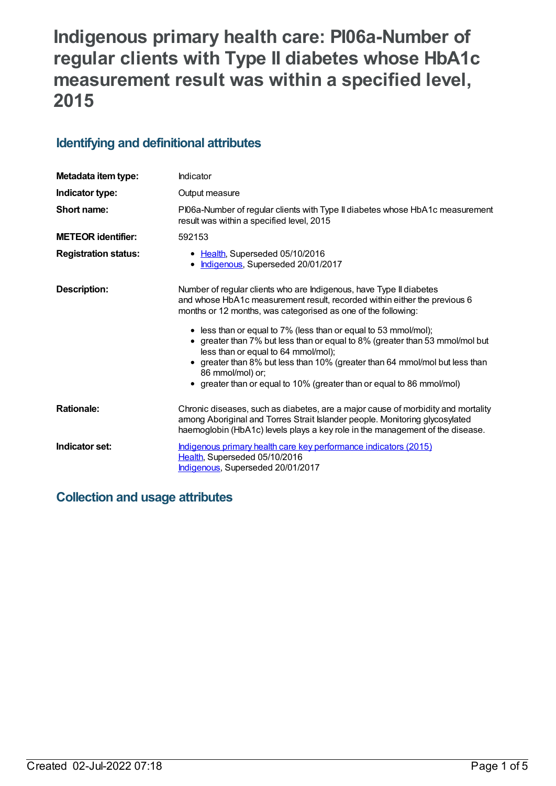# **Indigenous primary health care: PI06a-Number of regular clients with Type II diabetes whose HbA1c measurement result was within a specified level, 2015**

### **Identifying and definitional attributes**

| Metadata item type:         | Indicator                                                                                                                                                                                                                                                                                                                                                                                                                                                                                                                                                                             |  |
|-----------------------------|---------------------------------------------------------------------------------------------------------------------------------------------------------------------------------------------------------------------------------------------------------------------------------------------------------------------------------------------------------------------------------------------------------------------------------------------------------------------------------------------------------------------------------------------------------------------------------------|--|
| Indicator type:             | Output measure                                                                                                                                                                                                                                                                                                                                                                                                                                                                                                                                                                        |  |
| Short name:                 | PI06a-Number of regular clients with Type II diabetes whose HbA1c measurement<br>result was within a specified level, 2015                                                                                                                                                                                                                                                                                                                                                                                                                                                            |  |
| <b>METEOR</b> identifier:   | 592153                                                                                                                                                                                                                                                                                                                                                                                                                                                                                                                                                                                |  |
| <b>Registration status:</b> | • Health, Superseded 05/10/2016<br>Indigenous, Superseded 20/01/2017<br>$\bullet$                                                                                                                                                                                                                                                                                                                                                                                                                                                                                                     |  |
| Description:                | Number of regular clients who are Indigenous, have Type II diabetes<br>and whose HbA1c measurement result, recorded within either the previous 6<br>months or 12 months, was categorised as one of the following:<br>• less than or equal to 7% (less than or equal to 53 mmol/mol);<br>• greater than 7% but less than or equal to 8% (greater than 53 mmol/mol but<br>less than or equal to 64 mmol/mol);<br>greater than 8% but less than 10% (greater than 64 mmol/mol but less than<br>86 mmol/mol) or;<br>• greater than or equal to 10% (greater than or equal to 86 mmol/mol) |  |
| <b>Rationale:</b>           | Chronic diseases, such as diabetes, are a major cause of morbidity and mortality<br>among Aboriginal and Torres Strait Islander people. Monitoring glycosylated<br>haemoglobin (HbA1c) levels plays a key role in the management of the disease.                                                                                                                                                                                                                                                                                                                                      |  |
| Indicator set:              | Indigenous primary health care key performance indicators (2015)<br>Health, Superseded 05/10/2016<br>Indigenous, Superseded 20/01/2017                                                                                                                                                                                                                                                                                                                                                                                                                                                |  |

# **Collection and usage attributes**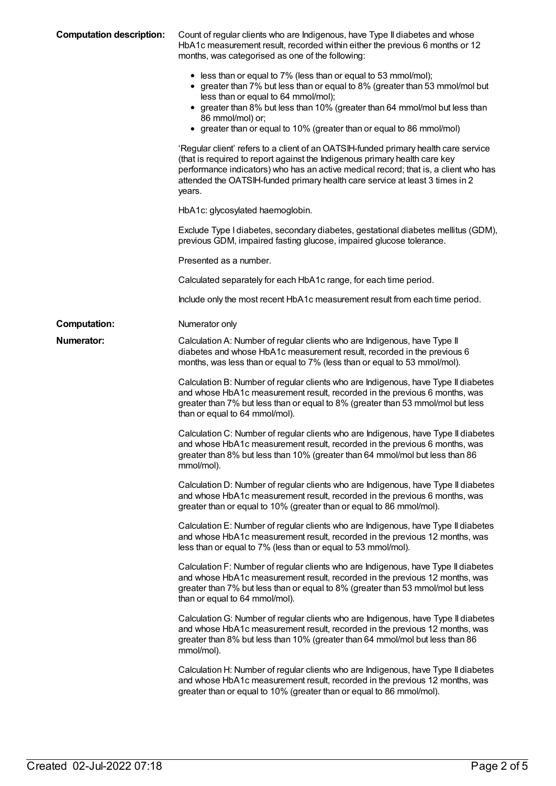| <b>Computation description:</b> | Count of regular clients who are Indigenous, have Type II diabetes and whose<br>HbA1c measurement result, recorded within either the previous 6 months or 12<br>months, was categorised as one of the following:                                                                                                                                                   |
|---------------------------------|--------------------------------------------------------------------------------------------------------------------------------------------------------------------------------------------------------------------------------------------------------------------------------------------------------------------------------------------------------------------|
|                                 | • less than or equal to 7% (less than or equal to 53 mmol/mol);<br>• greater than 7% but less than or equal to 8% (greater than 53 mmol/mol but<br>less than or equal to 64 mmol/mol);<br>• greater than 8% but less than 10% (greater than 64 mmol/mol but less than<br>86 mmol/mol) or;<br>• greater than or equal to 10% (greater than or equal to 86 mmol/mol) |
|                                 | 'Regular client' refers to a client of an OATSIH-funded primary health care service<br>(that is required to report against the Indigenous primary health care key<br>performance indicators) who has an active medical record; that is, a client who has<br>attended the OATSIH-funded primary health care service at least 3 times in 2<br>years.                 |
|                                 | HbA1c: glycosylated haemoglobin.                                                                                                                                                                                                                                                                                                                                   |
|                                 | Exclude Type I diabetes, secondary diabetes, gestational diabetes mellitus (GDM),<br>previous GDM, impaired fasting glucose, impaired glucose tolerance.                                                                                                                                                                                                           |
|                                 | Presented as a number.                                                                                                                                                                                                                                                                                                                                             |
|                                 | Calculated separately for each HbA1c range, for each time period.                                                                                                                                                                                                                                                                                                  |
|                                 | Include only the most recent HbA1c measurement result from each time period.                                                                                                                                                                                                                                                                                       |
| <b>Computation:</b>             | Numerator only                                                                                                                                                                                                                                                                                                                                                     |
| Numerator:                      | Calculation A: Number of regular clients who are Indigenous, have Type II<br>diabetes and whose HbA1c measurement result, recorded in the previous 6<br>months, was less than or equal to 7% (less than or equal to 53 mmol/mol).                                                                                                                                  |
|                                 | Calculation B: Number of regular clients who are Indigenous, have Type II diabetes<br>and whose HbA1c measurement result, recorded in the previous 6 months, was<br>greater than 7% but less than or equal to 8% (greater than 53 mmol/mol but less<br>than or equal to 64 mmol/mol).                                                                              |
|                                 | Calculation C: Number of regular clients who are Indigenous, have Type II diabetes<br>and whose HbA1c measurement result, recorded in the previous 6 months, was<br>greater than 8% but less than 10% (greater than 64 mmol/mol but less than 86<br>mmol/mol).                                                                                                     |
|                                 | Calculation D: Number of regular clients who are Indigenous, have Type II diabetes<br>and whose HbA1c measurement result, recorded in the previous 6 months, was<br>greater than or equal to 10% (greater than or equal to 86 mmol/mol).                                                                                                                           |
|                                 | Calculation E: Number of regular clients who are Indigenous, have Type II diabetes<br>and whose HbA1c measurement result, recorded in the previous 12 months, was<br>less than or equal to 7% (less than or equal to 53 mmol/mol).                                                                                                                                 |
|                                 | Calculation F: Number of regular clients who are Indigenous, have Type II diabetes<br>and whose HbA1c measurement result, recorded in the previous 12 months, was<br>greater than 7% but less than or equal to 8% (greater than 53 mmol/mol but less<br>than or equal to 64 mmol/mol).                                                                             |
|                                 | Calculation G: Number of regular clients who are Indigenous, have Type II diabetes<br>and whose HbA1c measurement result, recorded in the previous 12 months, was<br>greater than 8% but less than 10% (greater than 64 mmol/mol but less than 86<br>mmol/mol).                                                                                                    |
|                                 | Calculation H: Number of regular clients who are Indigenous, have Type II diabetes<br>and whose HbA1c measurement result, recorded in the previous 12 months, was<br>greater than or equal to 10% (greater than or equal to 86 mmol/mol).                                                                                                                          |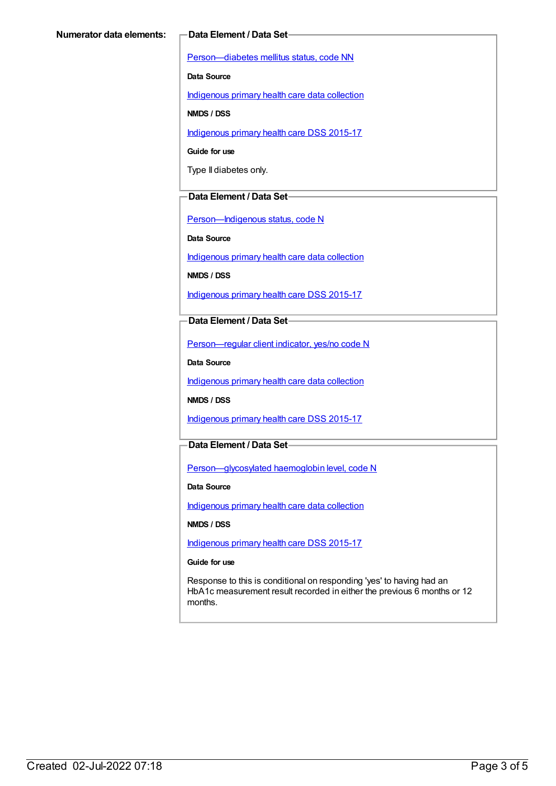[Person—diabetes](https://meteor.aihw.gov.au/content/270194) mellitus status, code NN

**Data Source**

[Indigenous](https://meteor.aihw.gov.au/content/430643) primary health care data collection

**NMDS / DSS**

[Indigenous](https://meteor.aihw.gov.au/content/585036) primary health care DSS 2015-17

**Guide for use**

Type II diabetes only.

#### **Data Element / Data Set**

[Person—Indigenous](https://meteor.aihw.gov.au/content/291036) status, code N

**Data Source**

[Indigenous](https://meteor.aihw.gov.au/content/430643) primary health care data collection

**NMDS / DSS**

[Indigenous](https://meteor.aihw.gov.au/content/585036) primary health care DSS 2015-17

#### **Data Element / Data Set**

[Person—regular](https://meteor.aihw.gov.au/content/436639) client indicator, yes/no code N

**Data Source**

[Indigenous](https://meteor.aihw.gov.au/content/430643) primary health care data collection

**NMDS / DSS**

[Indigenous](https://meteor.aihw.gov.au/content/585036) primary health care DSS 2015-17

### **Data Element / Data Set**

[Person—glycosylated](https://meteor.aihw.gov.au/content/589601) haemoglobin level, code N

**Data Source**

[Indigenous](https://meteor.aihw.gov.au/content/430643) primary health care data collection

**NMDS / DSS**

[Indigenous](https://meteor.aihw.gov.au/content/585036) primary health care DSS 2015-17

#### **Guide for use**

Response to this is conditional on responding 'yes' to having had an HbA1c measurement result recorded in either the previous 6 months or 12 months.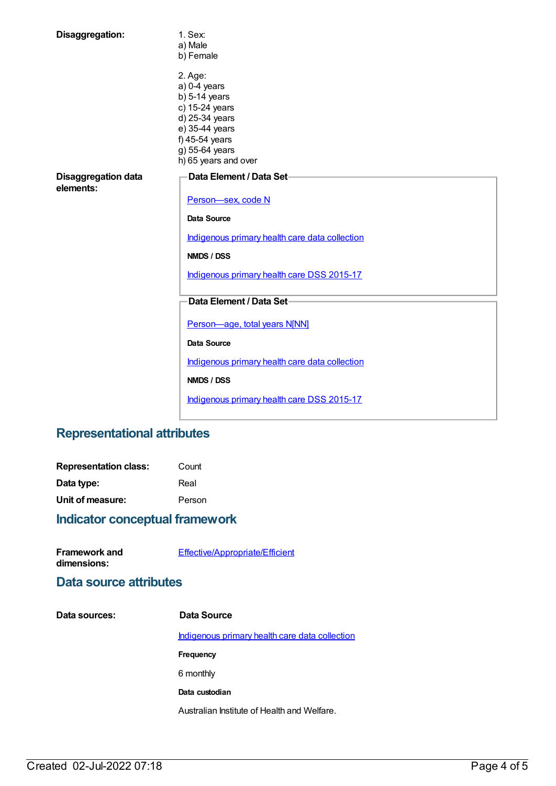| Disaggregation:                         | 1. Sex:<br>a) Male<br>b) Female                                                                                                                                |  |
|-----------------------------------------|----------------------------------------------------------------------------------------------------------------------------------------------------------------|--|
|                                         | 2. Age:<br>$a)$ 0-4 years<br>$b)$ 5-14 years<br>c) 15-24 years<br>d) 25-34 years<br>e) 35-44 years<br>f) 45-54 years<br>g) 55-64 years<br>h) 65 years and over |  |
| <b>Disaggregation data</b><br>elements: | Data Element / Data Set-<br>Person-sex, code N                                                                                                                 |  |
|                                         | Data Source                                                                                                                                                    |  |
|                                         | Indigenous primary health care data collection                                                                                                                 |  |
|                                         | NMDS / DSS                                                                                                                                                     |  |
|                                         | Indigenous primary health care DSS 2015-17                                                                                                                     |  |
|                                         | Data Element / Data Set-                                                                                                                                       |  |
|                                         | Person-age, total years N[NN]                                                                                                                                  |  |
|                                         | Data Source                                                                                                                                                    |  |
|                                         | Indigenous primary health care data collection                                                                                                                 |  |
|                                         | <b>NMDS / DSS</b>                                                                                                                                              |  |
|                                         | Indigenous primary health care DSS 2015-17                                                                                                                     |  |

# **Representational attributes**

| <b>Representation class:</b> | Count  |
|------------------------------|--------|
| Data type:                   | Real   |
| Unit of measure:             | Person |

# **Indicator conceptual framework**

| <b>Framework and</b> | Effective/Appropriate/Efficient |
|----------------------|---------------------------------|
| dimensions:          |                                 |

### **Data source attributes**

| Data sources: | Data Source                                    |
|---------------|------------------------------------------------|
|               | Indigenous primary health care data collection |
|               | Frequency                                      |
|               | 6 monthly                                      |
|               | Data custodian                                 |
|               | Australian Institute of Health and Welfare.    |